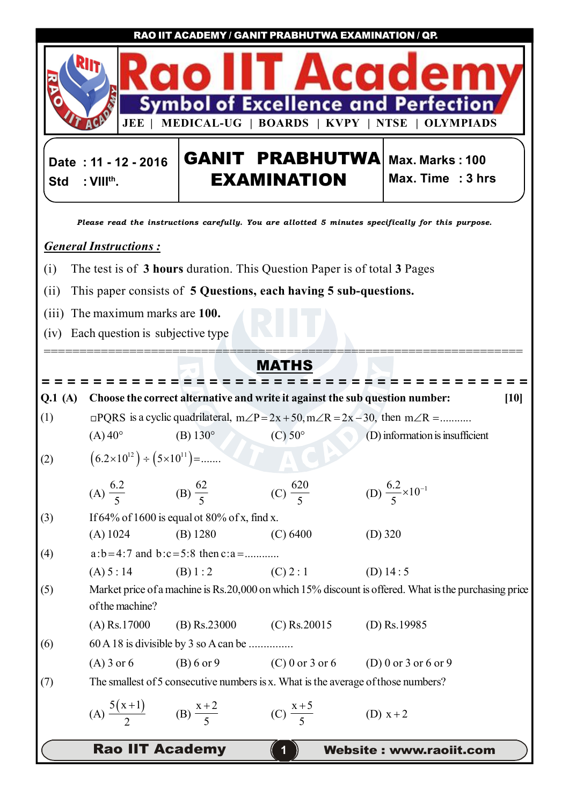**RAO IIT ACADEMY / GANIT PRABHUTWA EXAMINATION / QP.**



**Date : 11 - 12 - 2016 Std : VIIIth .**

**GANIT PRABHUTWA** Max. Marks : 100 **EXAMINATION**

**Max. Time : 3 hrs**

*Please read the instructions carefully. You are allotted 5 minutes specifically for this purpose.*

## *General Instructions :*

- (i) The test is of **3 hours** duration. This Question Paper is of total **3** Pages
- (ii) This paper consists of **5 Questions, each having 5 sub-questions.**
- (iii) The maximum marks are **100.**
- (iv) Each question is subjective type

## **MATHS** *= = = = = = = = = = = = = = = = = = = = = = = = = = = = = = = = = = = = = =* ===================================================================

**Rao IIT Academy 11 Website : www.raoiit.com Q.1 (A) Choose the correct alternative and write it against the sub question number: [10]** (1)  $\Box$  PQRS is a cyclic quadrilateral,  $m\angle P = 2x + 50$ ,  $m\angle R = 2x - 30$ , then  $m\angle R =$ .......... (A)  $40^{\circ}$  (B)  $130^{\circ}$  (C)  $50^{\circ}$  (D) information is insufficient (2)  $(6.2 \times 10^{12}) \div (5 \times 10^{11}) =$ ....... (A) 6.2  $\frac{1}{5}$  (B) 62 5 (C) 620 5 (D)  $\frac{6.2}{2} \times 10^{-1}$ 5  $\times 10^{-}$ (3) If  $64\%$  of 1600 is equal ot  $80\%$  of x, find x. (A) 1024 (B) 1280 (C) 6400 (D) 320 (4) a:b 4:7 and b:c 5:8 then c:a ............  $(A) 5 : 14$  (B) 1 : 2 (C) 2 : 1 (D) 14 : 5 (5) Market price of a machine is Rs.20,000 on which 15% discount is offered. What is the purchasing price of the machine? (A) Rs.17000 (B) Rs.23000 (C) Rs.20015 (D) Rs.19985  $(6)$  60 A 18 is divisible by 3 so A can be ................ (A) 3 or 6 (B) 6 or 9 (C) 0 or 3 or 6 (D) 0 or 3 or 6 or 9 (7) The smallest of 5 consecutive numbers is x. What is the average of those numbers? (A)  $5(x+1)$ 2  $^{+}$ (B)  $x + 2$ 5  $+$ (C)  $x + 5$ 5  $+$ (D)  $x + 2$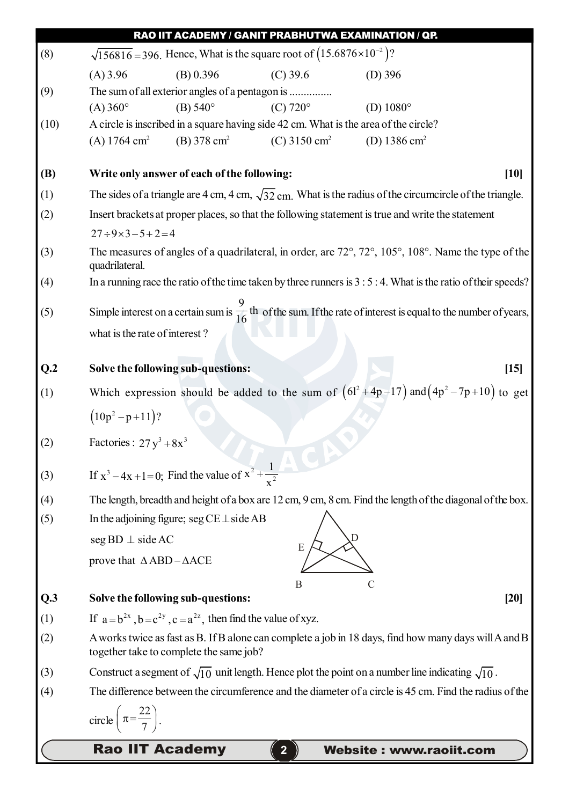| (8)        | RAO IIT ACADEMY / GANIT PRABHUTWA EXAMINATION / QP.<br>$\sqrt{156816}$ = 396. Hence, What is the square root of $(15.6876 \times 10^{-2})$ ?     |
|------------|--------------------------------------------------------------------------------------------------------------------------------------------------|
|            | $(C)$ 39.6<br>$(A)$ 3.96<br>(B) 0.396<br>$(D)$ 396                                                                                               |
| (9)        | The sum of all exterior angles of a pentagon is                                                                                                  |
|            | $(C)$ 720 $^{\circ}$<br>(D) $1080^\circ$<br>$(A) 360^{\circ}$<br>(B) $540^{\circ}$                                                               |
| (10)       | A circle is inscribed in a square having side 42 cm. What is the area of the circle?                                                             |
|            | (A) $1764 \text{ cm}^2$<br>(B) $378 \text{ cm}^2$<br>$(C)$ 3150 cm <sup>2</sup><br>(D) 1386 cm <sup>2</sup>                                      |
| <b>(B)</b> | Write only answer of each of the following:<br>$[10]$                                                                                            |
| (1)        | The sides of a triangle are 4 cm, 4 cm, $\sqrt{32}$ cm. What is the radius of the circumcircle of the triangle.                                  |
| (2)        | Insert brackets at proper places, so that the following statement is true and write the statement                                                |
|            | $27 \div 9 \times 3 - 5 + 2 = 4$                                                                                                                 |
| (3)        | The measures of angles of a quadrilateral, in order, are 72°, 72°, 105°, 108°. Name the type of the<br>quadrilateral.                            |
| (4)        | In a running race the ratio of the time taken by three runners is $3:5:4$ . What is the ratio of their speeds?                                   |
| (5)        | Simple interest on a certain sum is $\frac{9}{16}$ th of the sum. If the rate of interest is equal to the number of years,                       |
|            | what is the rate of interest?                                                                                                                    |
| Q.2        | Solve the following sub-questions:<br>$[15]$                                                                                                     |
| (1)        | Which expression should be added to the sum of $(6l^2+4p-17)$ and $(4p^2-7p+10)$ to get                                                          |
|            | $(10p^2 - p + 11)?$                                                                                                                              |
| (2)        | Factories : $27y^3 + 8x^3$                                                                                                                       |
| (3)        | If $x^3 - 4x + 1 = 0$ ; Find the value of $x^2 + \frac{1}{x^2}$                                                                                  |
| (4)        | The length, breadth and height of a box are 12 cm, 9 cm, 8 cm. Find the length of the diagonal of the box.                                       |
| (5)        | In the adjoining figure; seg $CE \perp$ side AB                                                                                                  |
|            | $seg BD \perp side AC$<br>E                                                                                                                      |
|            | prove that $\triangle$ ABD – $\triangle$ ACE                                                                                                     |
|            | B<br>C                                                                                                                                           |
| Q.3        | Solve the following sub-questions:<br>[20]                                                                                                       |
| (1)        | If $a = b^{2x}$ , $b = c^{2y}$ , $c = a^{2z}$ , then find the value of xyz.                                                                      |
| (2)        | A works twice as fast as B. If B alone can complete a job in 18 days, find how many days will A and B<br>together take to complete the same job? |
| (3)        | Construct a segment of $\sqrt{10}$ unit length. Hence plot the point on a number line indicating $\sqrt{10}$ .                                   |
| (4)        | The difference between the circumference and the diameter of a circle is 45 cm. Find the radius of the                                           |
|            | circle $\left(\pi = \frac{22}{7}\right)$ .                                                                                                       |
|            | <b>Rao IIT Academy</b><br><b>Website: www.raoiit.com</b>                                                                                         |